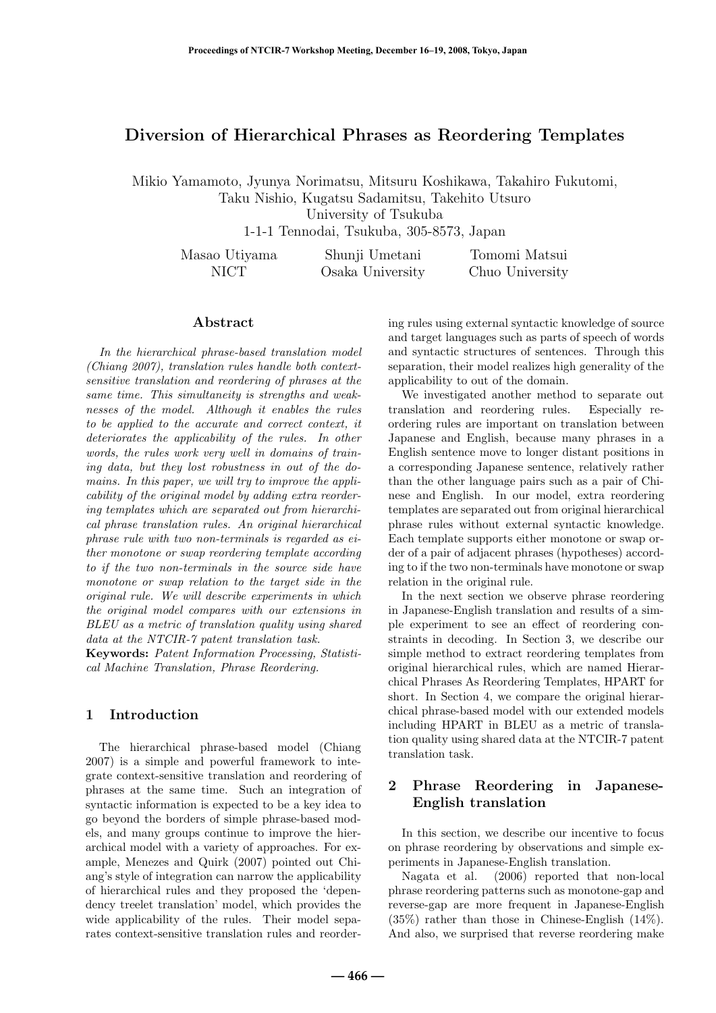# **Diversion of Hierarchical Phrases as Reordering Templates**

Mikio Yamamoto, Jyunya Norimatsu, Mitsuru Koshikawa, Takahiro Fukutomi, Taku Nishio, Kugatsu Sadamitsu, Takehito Utsuro

University of Tsukuba

1-1-1 Tennodai, Tsukuba, 305-8573, Japan

| Masao Utiyama | Shunji Umetani   | Tomomi Matsui   |
|---------------|------------------|-----------------|
| NICT          | Osaka University | Chuo University |

## **Abstract**

In the hierarchical phrase-based translation model (Chiang 2007), translation rules handle both contextsensitive translation and reordering of phrases at the same time. This simultaneity is strengths and weaknesses of the model. Although it enables the rules to be applied to the accurate and correct context, it deteriorates the applicability of the rules. In other words, the rules work very well in domains of training data, but they lost robustness in out of the domains. In this paper, we will try to improve the applicability of the original model by adding extra reordering templates which are separated out from hierarchical phrase translation rules. An original hierarchical phrase rule with two non-terminals is regarded as either monotone or swap reordering template according to if the two non-terminals in the source side have monotone or swap relation to the target side in the original rule. We will describe experiments in which the original model compares with our extensions in BLEU as a metric of translation quality using shared data at the NTCIR-7 patent translation task.

**Keywords:** Patent Information Processing, Statistical Machine Translation, Phrase Reordering.

## **1 Introduction**

The hierarchical phrase-based model (Chiang 2007) is a simple and powerful framework to integrate context-sensitive translation and reordering of phrases at the same time. Such an integration of syntactic information is expected to be a key idea to go beyond the borders of simple phrase-based models, and many groups continue to improve the hierarchical model with a variety of approaches. For example, Menezes and Quirk (2007) pointed out Chiang's style of integration can narrow the applicability of hierarchical rules and they proposed the 'dependency treelet translation' model, which provides the wide applicability of the rules. Their model separates context-sensitive translation rules and reordering rules using external syntactic knowledge of source and target languages such as parts of speech of words and syntactic structures of sentences. Through this separation, their model realizes high generality of the applicability to out of the domain.

We investigated another method to separate out translation and reordering rules. Especially reordering rules are important on translation between Japanese and English, because many phrases in a English sentence move to longer distant positions in a corresponding Japanese sentence, relatively rather than the other language pairs such as a pair of Chinese and English. In our model, extra reordering templates are separated out from original hierarchical phrase rules without external syntactic knowledge. Each template supports either monotone or swap order of a pair of adjacent phrases (hypotheses) according to if the two non-terminals have monotone or swap relation in the original rule.

In the next section we observe phrase reordering in Japanese-English translation and results of a simple experiment to see an effect of reordering constraints in decoding. In Section 3, we describe our simple method to extract reordering templates from original hierarchical rules, which are named Hierarchical Phrases As Reordering Templates, HPART for short. In Section 4, we compare the original hierarchical phrase-based model with our extended models including HPART in BLEU as a metric of translation quality using shared data at the NTCIR-7 patent translation task.

## **2 Phrase Reordering in Japanese-English translation**

In this section, we describe our incentive to focus on phrase reordering by observations and simple experiments in Japanese-English translation.

Nagata et al. (2006) reported that non-local phrase reordering patterns such as monotone-gap and reverse-gap are more frequent in Japanese-English (35%) rather than those in Chinese-English (14%). And also, we surprised that reverse reordering make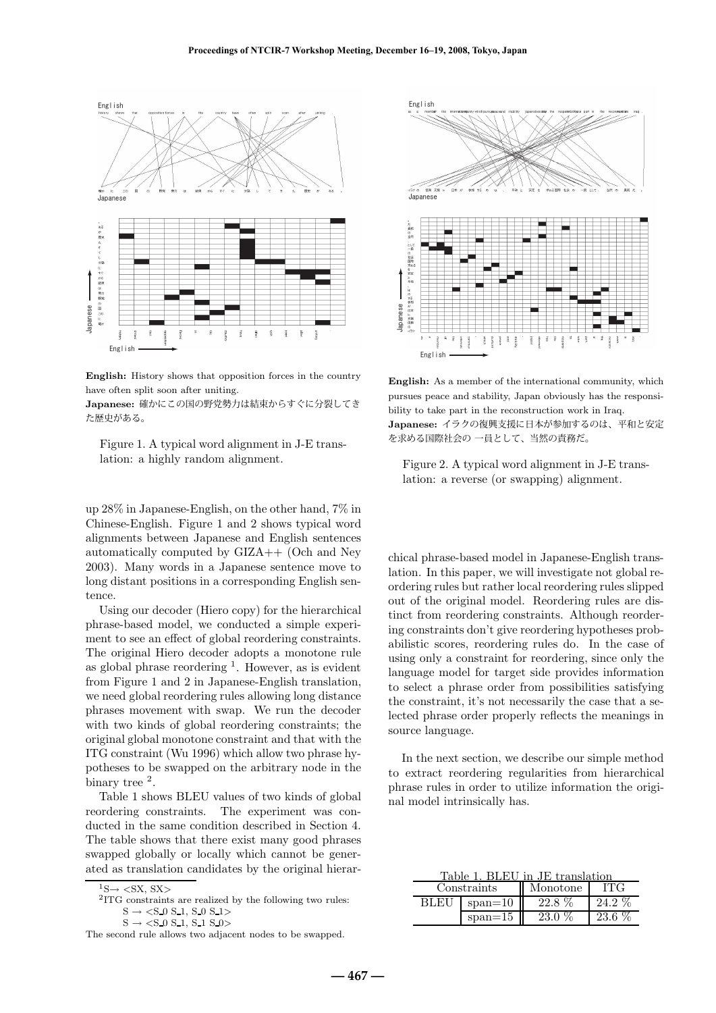

**English:** History shows that opposition forces in the country have often split soon after uniting.

**Japanese:** 確かにこの国の野党勢力は結束からすぐに分裂してき た歴史がある。

Figure 1. A typical word alignment in J-E translation: a highly random alignment.

up 28% in Japanese-English, on the other hand, 7% in Chinese-English. Figure 1 and 2 shows typical word alignments between Japanese and English sentences automatically computed by GIZA++ (Och and Ney 2003). Many words in a Japanese sentence move to long distant positions in a corresponding English sentence.

Using our decoder (Hiero copy) for the hierarchical phrase-based model, we conducted a simple experiment to see an effect of global reordering constraints. The original Hiero decoder adopts a monotone rule as global phrase reordering  $<sup>1</sup>$ . However, as is evident</sup> from Figure 1 and 2 in Japanese-English translation, we need global reordering rules allowing long distance phrases movement with swap. We run the decoder with two kinds of global reordering constraints; the original global monotone constraint and that with the ITG constraint (Wu 1996) which allow two phrase hypotheses to be swapped on the arbitrary node in the binary tree  $^2$ .

Table 1 shows BLEU values of two kinds of global reordering constraints. The experiment was conducted in the same condition described in Section 4. The table shows that there exist many good phrases swapped globally or locally which cannot be generated as translation candidates by the original hierar-



**English:** As a member of the international community, which pursues peace and stability, Japan obviously has the responsibility to take part in the reconstruction work in Iraq. **Japanese:** イラクの復興支援に日本が参加するのは、平和と安定 を求める国際社会の 一員として、当然の責務だ。

Figure 2. A typical word alignment in J-E translation: a reverse (or swapping) alignment.

chical phrase-based model in Japanese-English translation. In this paper, we will investigate not global reordering rules but rather local reordering rules slipped out of the original model. Reordering rules are distinct from reordering constraints. Although reordering constraints don't give reordering hypotheses probabilistic scores, reordering rules do. In the case of using only a constraint for reordering, since only the language model for target side provides information to select a phrase order from possibilities satisfying the constraint, it's not necessarily the case that a selected phrase order properly reflects the meanings in source language.

In the next section, we describe our simple method to extract reordering regularities from hierarchical phrase rules in order to utilize information the original model intrinsically has.

| Table 1. BLEU in JE translation |           |          |          |  |
|---------------------------------|-----------|----------|----------|--|
| Constraints                     |           | Monotone | ITG      |  |
| <b>BLEU</b>                     | $span=10$ | $22.8\%$ | $24.2\%$ |  |
|                                 | $span=15$ | $23.0\%$ | $23.6\%$ |  |

 $\mathrm{^{1}S}\rightarrow$   $<\!\mathrm{SX},$  SX>  $\mathrm{^{2}ITG}$  constraints are realized by the following two rules:  $S \rightarrow \langle S_0 S_1, S_0 S_1 \rangle$ 

 $S \rightarrow \langle S_0 S_1 S_1 S_2 S_2 \rangle$ 

The second rule allows two adjacent nodes to be swapped.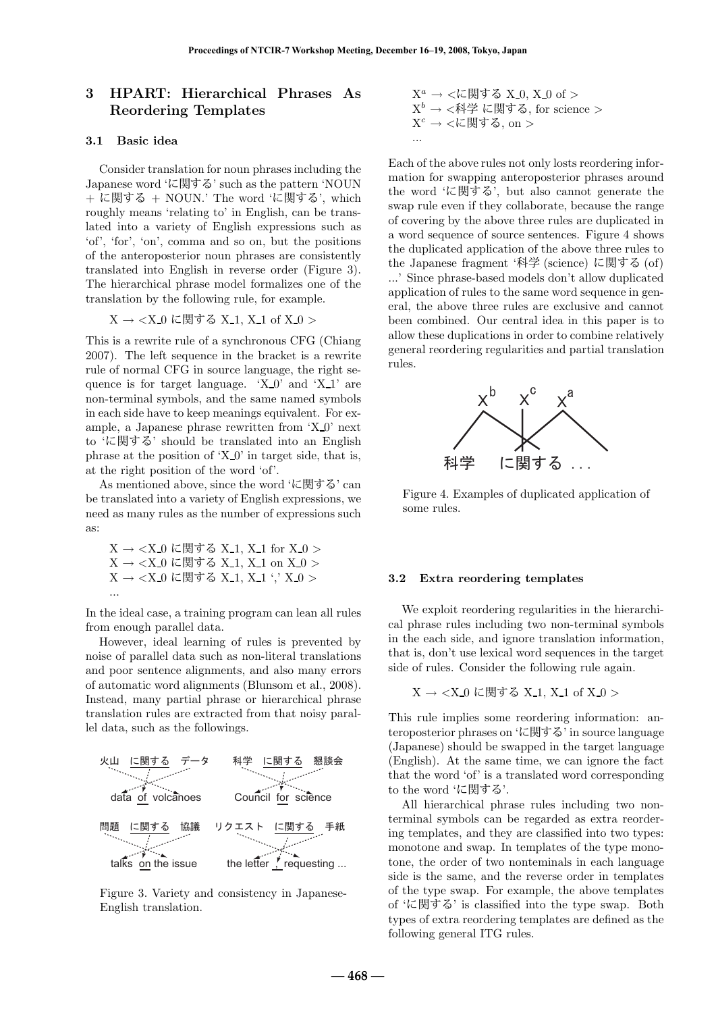# **3 HPART: Hierarchical Phrases As Reordering Templates**

#### **3.1 Basic idea**

Consider translation for noun phrases including the Japanese word 'に関する' such as the pattern 'NOUN + に関する + NOUN.' The word 'に関する', which roughly means 'relating to' in English, can be translated into a variety of English expressions such as 'of', 'for', 'on', comma and so on, but the positions of the anteroposterior noun phrases are consistently translated into English in reverse order (Figure 3). The hierarchical phrase model formalizes one of the translation by the following rule, for example.

 $X \rightarrow \langle X_0 \rangle$ に関する X<sub>-1</sub>, X<sub>-1</sub> of X<sub>-0</sub>  $>$ 

This is a rewrite rule of a synchronous CFG (Chiang 2007). The left sequence in the bracket is a rewrite rule of normal CFG in source language, the right sequence is for target language.  $X_0$  and  $X_1$  are non-terminal symbols, and the same named symbols in each side have to keep meanings equivalent. For example, a Japanese phrase rewritten from 'X 0' next to 'に関する' should be translated into an English phrase at the position of  $'X_0'$  in target side, that is, at the right position of the word 'of'.

As mentioned above, since the word 'に関する' can be translated into a variety of English expressions, we need as many rules as the number of expressions such as:

X → <X 0 に関する X 1, X 1 for X 0 > X → <X 0 に関する X 1, X 1 on X 0 > X → <X 0 に関する X 1, X 1 ',' X 0 > ...

In the ideal case, a training program can lean all rules from enough parallel data.

However, ideal learning of rules is prevented by noise of parallel data such as non-literal translations and poor sentence alignments, and also many errors of automatic word alignments (Blunsom et al., 2008). Instead, many partial phrase or hierarchical phrase translation rules are extracted from that noisy parallel data, such as the followings.



Figure 3. Variety and consistency in Japanese-English translation.

$$
X^a \rightarrow \langle \mathcal{K} \boxtimes \mathcal{T} \otimes X_0, X_0 \text{ of } \rangle
$$
  

$$
X^b \rightarrow \langle \mathcal{K} \rangle \cong \langle \mathcal{K} \otimes \mathcal{T} \otimes \mathcal{T} \rangle
$$
  

$$
X^c \rightarrow \langle \mathcal{K} \otimes \mathcal{T} \otimes \mathcal{T} \rangle
$$
  
...

Each of the above rules not only losts reordering information for swapping anteroposterior phrases around the word 'に関する', but also cannot generate the swap rule even if they collaborate, because the range of covering by the above three rules are duplicated in a word sequence of source sentences. Figure 4 shows the duplicated application of the above three rules to the Japanese fragment '科学 (science) に関する (of) ...' Since phrase-based models don't allow duplicated application of rules to the same word sequence in general, the above three rules are exclusive and cannot been combined. Our central idea in this paper is to allow these duplications in order to combine relatively general reordering regularities and partial translation rules.



Figure 4. Examples of duplicated application of some rules.

#### **3.2 Extra reordering templates**

We exploit reordering regularities in the hierarchical phrase rules including two non-terminal symbols in the each side, and ignore translation information, that is, don't use lexical word sequences in the target side of rules. Consider the following rule again.

$$
X \to \langle X_0 \rangle \subset \text{I}
$$
以 は関する X\_1, X\_1 of X\_0 >

This rule implies some reordering information: anteroposterior phrases on 'に関する' in source language (Japanese) should be swapped in the target language (English). At the same time, we can ignore the fact that the word 'of' is a translated word corresponding to the word 'に関する'.

All hierarchical phrase rules including two nonterminal symbols can be regarded as extra reordering templates, and they are classified into two types: monotone and swap. In templates of the type monotone, the order of two nonteminals in each language side is the same, and the reverse order in templates of the type swap. For example, the above templates of 'に関する' is classified into the type swap. Both types of extra reordering templates are defined as the following general ITG rules.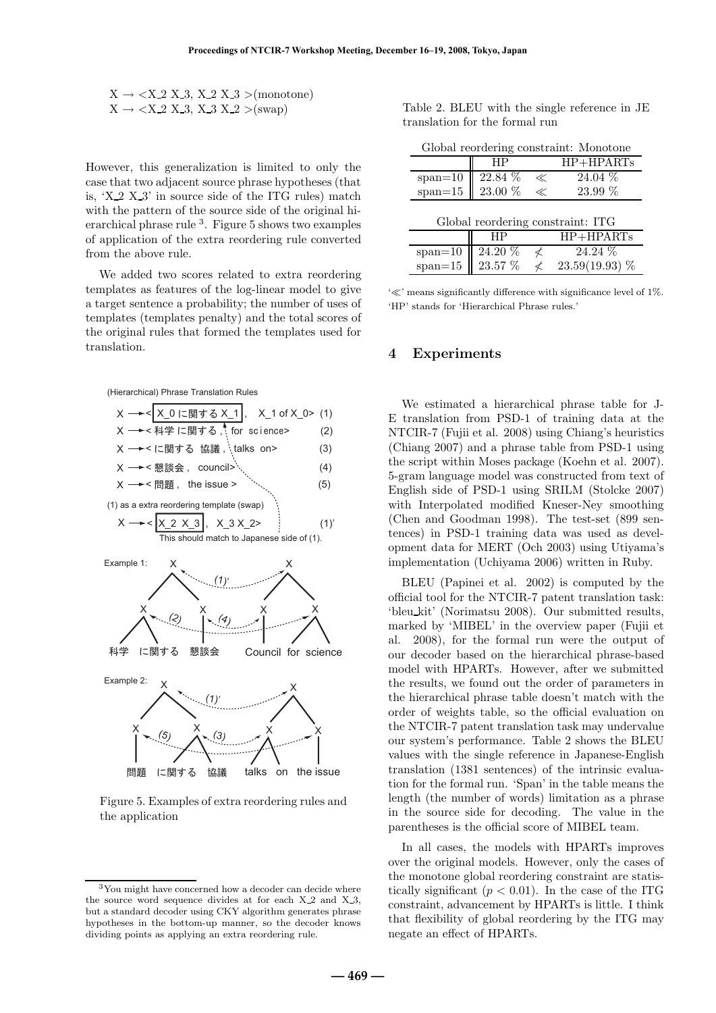$$
X \to \langle X_2 \, X_3, \, X_2 \, X_3 \rangle \text{ (monotone)}
$$
  
 
$$
X \to \langle X_2 \, X_3, \, X_3 \, X_2 \rangle \text{ (swap)}
$$

However, this generalization is limited to only the case that two adjacent source phrase hypotheses (that is, 'X 2 X 3' in source side of the ITG rules) match with the pattern of the source side of the original hierarchical phrase rule  $3$ . Figure 5 shows two examples of application of the extra reordering rule converted from the above rule.

We added two scores related to extra reordering templates as features of the log-linear model to give a target sentence a probability; the number of uses of templates (templates penalty) and the total scores of the original rules that formed the templates used for translation.





Figure 5. Examples of extra reordering rules and the application

|                                |  |  | Table 2. BLEU with the single reference in JE |  |
|--------------------------------|--|--|-----------------------------------------------|--|
| translation for the formal run |  |  |                                               |  |

| Global reordering constraint: Monotone |  |  |
|----------------------------------------|--|--|
|----------------------------------------|--|--|

|                                                                     | ΗP         |                          | $HP + HPARTs$    |  |  |
|---------------------------------------------------------------------|------------|--------------------------|------------------|--|--|
|                                                                     | $22.84\%$  | $\ll$                    | $24.04\%$        |  |  |
| $\begin{array}{c} \text{span} = 10 \\ \text{span} = 15 \end{array}$ | 23.00 %    | $\ll$                    | $23.99\%$        |  |  |
|                                                                     |            |                          |                  |  |  |
| Global reordering constraint: ITG                                   |            |                          |                  |  |  |
|                                                                     |            |                          | $HP + HPARTs$    |  |  |
|                                                                     | 24.20 %    | ≮                        | 24.24 %          |  |  |
| $\begin{array}{c}\n\text{span}=10\\ \text{span}=15\n\end{array}$    | $23.57~\%$ | $\overline{\mathcal{L}}$ | $23.59(19.93)$ % |  |  |

 $\ll$  means significantly difference with significance level of 1%. 'HP' stands for 'Hierarchical Phrase rules.'

## **4 Experiments**

We estimated a hierarchical phrase table for J-E translation from PSD-1 of training data at the NTCIR-7 (Fujii et al. 2008) using Chiang's heuristics (Chiang 2007) and a phrase table from PSD-1 using the script within Moses package (Koehn et al. 2007). 5-gram language model was constructed from text of English side of PSD-1 using SRILM (Stolcke 2007) with Interpolated modified Kneser-Ney smoothing (Chen and Goodman 1998). The test-set (899 sentences) in PSD-1 training data was used as development data for MERT (Och 2003) using Utiyama's implementation (Uchiyama 2006) written in Ruby.

BLEU (Papinei et al. 2002) is computed by the official tool for the NTCIR-7 patent translation task: 'bleu kit' (Norimatsu 2008). Our submitted results, marked by 'MIBEL' in the overview paper (Fujii et al. 2008), for the formal run were the output of our decoder based on the hierarchical phrase-based model with HPARTs. However, after we submitted the results, we found out the order of parameters in the hierarchical phrase table doesn't match with the order of weights table, so the official evaluation on the NTCIR-7 patent translation task may undervalue our system's performance. Table 2 shows the BLEU values with the single reference in Japanese-English translation (1381 sentences) of the intrinsic evaluation for the formal run. 'Span' in the table means the length (the number of words) limitation as a phrase in the source side for decoding. The value in the parentheses is the official score of MIBEL team.

In all cases, the models with HPARTs improves over the original models. However, only the cases of the monotone global reordering constraint are statistically significant  $(p < 0.01)$ . In the case of the ITG constraint, advancement by HPARTs is little. I think that flexibility of global reordering by the ITG may negate an effect of HPARTs.

<sup>3</sup>You might have concerned how a decoder can decide where the source word sequence divides at for each  $X_2$  and  $X_3$ , but a standard decoder using CKY algorithm generates phrase hypotheses in the bottom-up manner, so the decoder knows dividing points as applying an extra reordering rule.